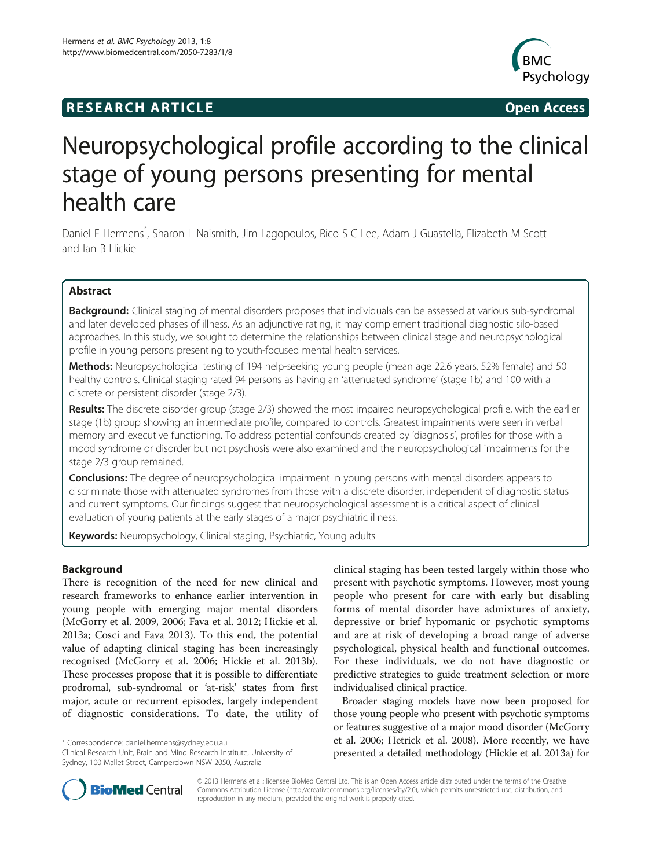# **RESEARCH ARTICLE Example 2014 CONSIDERING CONSIDERING CONSIDERING CONSIDERING CONSIDERING CONSIDERING CONSIDERING CONSIDERING CONSIDERING CONSIDERING CONSIDERING CONSIDERING CONSIDERING CONSIDERING CONSIDERING CONSIDE**



# Neuropsychological profile according to the clinical stage of young persons presenting for mental health care

Daniel F Hermens<sup>\*</sup>, Sharon L Naismith, Jim Lagopoulos, Rico S C Lee, Adam J Guastella, Elizabeth M Scott and Ian B Hickie

# Abstract

Background: Clinical staging of mental disorders proposes that individuals can be assessed at various sub-syndromal and later developed phases of illness. As an adjunctive rating, it may complement traditional diagnostic silo-based approaches. In this study, we sought to determine the relationships between clinical stage and neuropsychological profile in young persons presenting to youth-focused mental health services.

Methods: Neuropsychological testing of 194 help-seeking young people (mean age 22.6 years, 52% female) and 50 healthy controls. Clinical staging rated 94 persons as having an 'attenuated syndrome' (stage 1b) and 100 with a discrete or persistent disorder (stage 2/3).

Results: The discrete disorder group (stage 2/3) showed the most impaired neuropsychological profile, with the earlier stage (1b) group showing an intermediate profile, compared to controls. Greatest impairments were seen in verbal memory and executive functioning. To address potential confounds created by 'diagnosis', profiles for those with a mood syndrome or disorder but not psychosis were also examined and the neuropsychological impairments for the stage 2/3 group remained.

**Conclusions:** The degree of neuropsychological impairment in young persons with mental disorders appears to discriminate those with attenuated syndromes from those with a discrete disorder, independent of diagnostic status and current symptoms. Our findings suggest that neuropsychological assessment is a critical aspect of clinical evaluation of young patients at the early stages of a major psychiatric illness.

Keywords: Neuropsychology, Clinical staging, Psychiatric, Young adults

# Background

There is recognition of the need for new clinical and research frameworks to enhance earlier intervention in young people with emerging major mental disorders (McGorry et al. [2009, 2006;](#page-7-0) Fava et al. [2012](#page-7-0); Hickie et al. [2013](#page-7-0)a; Cosci and Fava [2013](#page-7-0)). To this end, the potential value of adapting clinical staging has been increasingly recognised (McGorry et al. [2006](#page-7-0); Hickie et al. [2013](#page-7-0)b). These processes propose that it is possible to differentiate prodromal, sub-syndromal or 'at-risk' states from first major, acute or recurrent episodes, largely independent of diagnostic considerations. To date, the utility of

\* Correspondence: [daniel.hermens@sydney.edu.au](mailto:daniel.hermens@sydney.edu.au)

Clinical Research Unit, Brain and Mind Research Institute, University of Sydney, 100 Mallet Street, Camperdown NSW 2050, Australia

clinical staging has been tested largely within those who present with psychotic symptoms. However, most young people who present for care with early but disabling forms of mental disorder have admixtures of anxiety, depressive or brief hypomanic or psychotic symptoms and are at risk of developing a broad range of adverse psychological, physical health and functional outcomes. For these individuals, we do not have diagnostic or predictive strategies to guide treatment selection or more individualised clinical practice.

Broader staging models have now been proposed for those young people who present with psychotic symptoms or features suggestive of a major mood disorder (McGorry et al. [2006](#page-7-0); Hetrick et al. [2008](#page-7-0)). More recently, we have presented a detailed methodology (Hickie et al. [2013a](#page-7-0)) for



© 2013 Hermens et al.; licensee BioMed Central Ltd. This is an Open Access article distributed under the terms of the Creative Commons Attribution License [\(http://creativecommons.org/licenses/by/2.0\)](http://creativecommons.org/licenses/by/2.0), which permits unrestricted use, distribution, and reproduction in any medium, provided the original work is properly cited.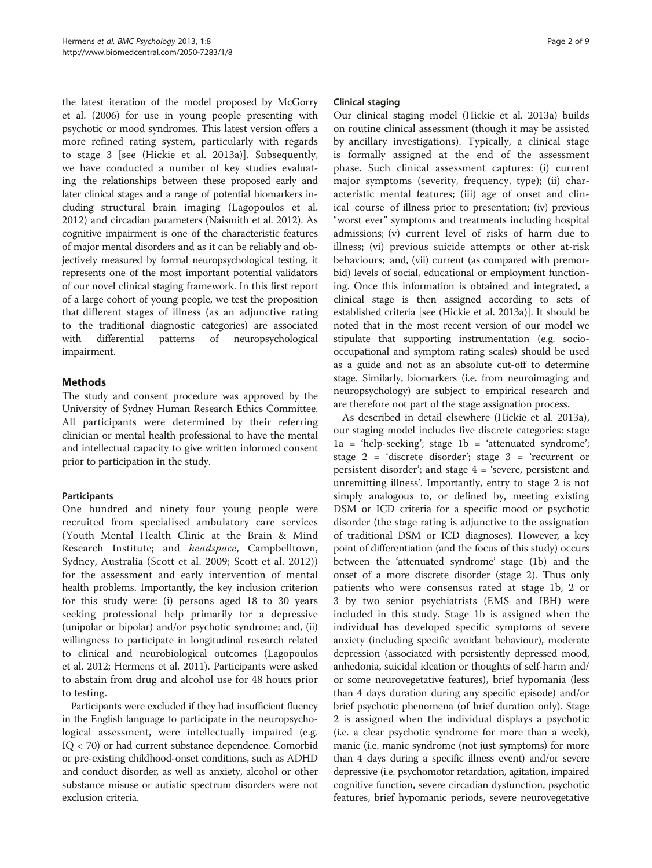the latest iteration of the model proposed by McGorry et al. [\(2006](#page-7-0)) for use in young people presenting with psychotic or mood syndromes. This latest version offers a more refined rating system, particularly with regards to stage 3 [see (Hickie et al. [2013](#page-7-0)a)]. Subsequently, we have conducted a number of key studies evaluating the relationships between these proposed early and later clinical stages and a range of potential biomarkers including structural brain imaging (Lagopoulos et al. [2012\)](#page-7-0) and circadian parameters (Naismith et al. [2012\)](#page-7-0). As cognitive impairment is one of the characteristic features of major mental disorders and as it can be reliably and objectively measured by formal neuropsychological testing, it represents one of the most important potential validators of our novel clinical staging framework. In this first report of a large cohort of young people, we test the proposition that different stages of illness (as an adjunctive rating to the traditional diagnostic categories) are associated with differential patterns of neuropsychological impairment.

# Methods

The study and consent procedure was approved by the University of Sydney Human Research Ethics Committee. All participants were determined by their referring clinician or mental health professional to have the mental and intellectual capacity to give written informed consent prior to participation in the study.

# Participants

One hundred and ninety four young people were recruited from specialised ambulatory care services (Youth Mental Health Clinic at the Brain & Mind Research Institute; and headspace, Campbelltown, Sydney, Australia (Scott et al. [2009;](#page-8-0) Scott et al. [2012](#page-8-0))) for the assessment and early intervention of mental health problems. Importantly, the key inclusion criterion for this study were: (i) persons aged 18 to 30 years seeking professional help primarily for a depressive (unipolar or bipolar) and/or psychotic syndrome; and, (ii) willingness to participate in longitudinal research related to clinical and neurobiological outcomes (Lagopoulos et al. [2012;](#page-7-0) Hermens et al. [2011\)](#page-7-0). Participants were asked to abstain from drug and alcohol use for 48 hours prior to testing.

Participants were excluded if they had insufficient fluency in the English language to participate in the neuropsychological assessment, were intellectually impaired (e.g. IQ < 70) or had current substance dependence. Comorbid or pre-existing childhood-onset conditions, such as ADHD and conduct disorder, as well as anxiety, alcohol or other substance misuse or autistic spectrum disorders were not exclusion criteria.

# Clinical staging

Our clinical staging model (Hickie et al. [2013a](#page-7-0)) builds on routine clinical assessment (though it may be assisted by ancillary investigations). Typically, a clinical stage is formally assigned at the end of the assessment phase. Such clinical assessment captures: (i) current major symptoms (severity, frequency, type); (ii) characteristic mental features; (iii) age of onset and clinical course of illness prior to presentation; (iv) previous "worst ever" symptoms and treatments including hospital admissions; (v) current level of risks of harm due to illness; (vi) previous suicide attempts or other at-risk behaviours; and, (vii) current (as compared with premorbid) levels of social, educational or employment functioning. Once this information is obtained and integrated, a clinical stage is then assigned according to sets of established criteria [see (Hickie et al. [2013](#page-7-0)a)]. It should be noted that in the most recent version of our model we stipulate that supporting instrumentation (e.g. sociooccupational and symptom rating scales) should be used as a guide and not as an absolute cut-off to determine stage. Similarly, biomarkers (i.e. from neuroimaging and neuropsychology) are subject to empirical research and are therefore not part of the stage assignation process.

As described in detail elsewhere (Hickie et al. [2013a](#page-7-0)), our staging model includes five discrete categories: stage 1a = 'help-seeking'; stage 1b = 'attenuated syndrome'; stage 2 = 'discrete disorder'; stage 3 = 'recurrent or persistent disorder'; and stage  $4 =$  'severe, persistent and unremitting illness'. Importantly, entry to stage 2 is not simply analogous to, or defined by, meeting existing DSM or ICD criteria for a specific mood or psychotic disorder (the stage rating is adjunctive to the assignation of traditional DSM or ICD diagnoses). However, a key point of differentiation (and the focus of this study) occurs between the 'attenuated syndrome' stage (1b) and the onset of a more discrete disorder (stage 2). Thus only patients who were consensus rated at stage 1b, 2 or 3 by two senior psychiatrists (EMS and IBH) were included in this study. Stage 1b is assigned when the individual has developed specific symptoms of severe anxiety (including specific avoidant behaviour), moderate depression (associated with persistently depressed mood, anhedonia, suicidal ideation or thoughts of self-harm and/ or some neurovegetative features), brief hypomania (less than 4 days duration during any specific episode) and/or brief psychotic phenomena (of brief duration only). Stage 2 is assigned when the individual displays a psychotic (i.e. a clear psychotic syndrome for more than a week), manic (i.e. manic syndrome (not just symptoms) for more than 4 days during a specific illness event) and/or severe depressive (i.e. psychomotor retardation, agitation, impaired cognitive function, severe circadian dysfunction, psychotic features, brief hypomanic periods, severe neurovegetative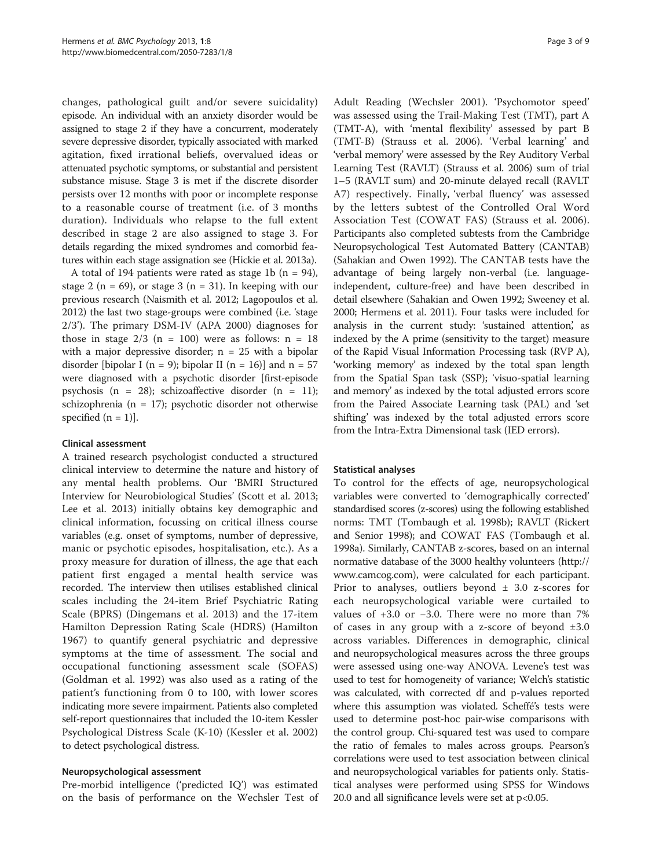changes, pathological guilt and/or severe suicidality) episode. An individual with an anxiety disorder would be assigned to stage 2 if they have a concurrent, moderately severe depressive disorder, typically associated with marked agitation, fixed irrational beliefs, overvalued ideas or attenuated psychotic symptoms, or substantial and persistent substance misuse. Stage 3 is met if the discrete disorder persists over 12 months with poor or incomplete response to a reasonable course of treatment (i.e. of 3 months duration). Individuals who relapse to the full extent described in stage 2 are also assigned to stage 3. For details regarding the mixed syndromes and comorbid features within each stage assignation see (Hickie et al. [2013a](#page-7-0)).

A total of 194 patients were rated as stage 1b ( $n = 94$ ), stage 2 ( $n = 69$ ), or stage 3 ( $n = 31$ ). In keeping with our previous research (Naismith et al. [2012](#page-7-0); Lagopoulos et al. [2012\)](#page-7-0) the last two stage-groups were combined (i.e. 'stage 2/3'). The primary DSM-IV (APA [2000\)](#page-7-0) diagnoses for those in stage  $2/3$  (n = 100) were as follows: n = 18 with a major depressive disorder;  $n = 25$  with a bipolar disorder [bipolar I (n = 9); bipolar II (n = 16)] and  $n = 57$ were diagnosed with a psychotic disorder [first-episode psychosis (n = 28); schizoaffective disorder (n = 11); schizophrenia (n = 17); psychotic disorder not otherwise specified  $(n = 1)$ ].

#### Clinical assessment

A trained research psychologist conducted a structured clinical interview to determine the nature and history of any mental health problems. Our 'BMRI Structured Interview for Neurobiological Studies' (Scott et al. [2013](#page-8-0); Lee et al. [2013\)](#page-7-0) initially obtains key demographic and clinical information, focussing on critical illness course variables (e.g. onset of symptoms, number of depressive, manic or psychotic episodes, hospitalisation, etc.). As a proxy measure for duration of illness, the age that each patient first engaged a mental health service was recorded. The interview then utilises established clinical scales including the 24-item Brief Psychiatric Rating Scale (BPRS) (Dingemans et al. [2013\)](#page-7-0) and the 17-item Hamilton Depression Rating Scale (HDRS) (Hamilton [1967\)](#page-7-0) to quantify general psychiatric and depressive symptoms at the time of assessment. The social and occupational functioning assessment scale (SOFAS) (Goldman et al. [1992](#page-7-0)) was also used as a rating of the patient's functioning from 0 to 100, with lower scores indicating more severe impairment. Patients also completed self-report questionnaires that included the 10-item Kessler Psychological Distress Scale (K-10) (Kessler et al. [2002](#page-7-0)) to detect psychological distress.

# Neuropsychological assessment

Pre-morbid intelligence ('predicted IQ') was estimated on the basis of performance on the Wechsler Test of

Adult Reading (Wechsler [2001](#page-8-0)). 'Psychomotor speed' was assessed using the Trail-Making Test (TMT), part A (TMT-A), with 'mental flexibility' assessed by part B (TMT-B) (Strauss et al. [2006\)](#page-8-0). 'Verbal learning' and 'verbal memory' were assessed by the Rey Auditory Verbal Learning Test (RAVLT) (Strauss et al. [2006](#page-8-0)) sum of trial 1–5 (RAVLT sum) and 20-minute delayed recall (RAVLT A7) respectively. Finally, 'verbal fluency' was assessed by the letters subtest of the Controlled Oral Word Association Test (COWAT FAS) (Strauss et al. [2006](#page-8-0)). Participants also completed subtests from the Cambridge Neuropsychological Test Automated Battery (CANTAB) (Sahakian and Owen [1992\)](#page-8-0). The CANTAB tests have the advantage of being largely non-verbal (i.e. languageindependent, culture-free) and have been described in detail elsewhere (Sahakian and Owen [1992](#page-8-0); Sweeney et al. [2000](#page-8-0); Hermens et al. [2011](#page-7-0)). Four tasks were included for analysis in the current study: 'sustained attention', as indexed by the A prime (sensitivity to the target) measure of the Rapid Visual Information Processing task (RVP A), 'working memory' as indexed by the total span length from the Spatial Span task (SSP); 'visuo-spatial learning and memory' as indexed by the total adjusted errors score from the Paired Associate Learning task (PAL) and 'set shifting' was indexed by the total adjusted errors score from the Intra-Extra Dimensional task (IED errors).

# Statistical analyses

To control for the effects of age, neuropsychological variables were converted to 'demographically corrected' standardised scores (z-scores) using the following established norms: TMT (Tombaugh et al. [1998b](#page-8-0)); RAVLT (Rickert and Senior [1998\)](#page-7-0); and COWAT FAS (Tombaugh et al. [1998a](#page-8-0)). Similarly, CANTAB z-scores, based on an internal normative database of the 3000 healthy volunteers ([http://](http://www.camcog.com) [www.camcog.com](http://www.camcog.com)), were calculated for each participant. Prior to analyses, outliers beyond  $\pm$  3.0 z-scores for each neuropsychological variable were curtailed to values of +3.0 or −3.0. There were no more than 7% of cases in any group with a z-score of beyond  $\pm 3.0$ across variables. Differences in demographic, clinical and neuropsychological measures across the three groups were assessed using one-way ANOVA. Levene's test was used to test for homogeneity of variance; Welch's statistic was calculated, with corrected df and p-values reported where this assumption was violated. Scheffé's tests were used to determine post-hoc pair-wise comparisons with the control group. Chi-squared test was used to compare the ratio of females to males across groups. Pearson's correlations were used to test association between clinical and neuropsychological variables for patients only. Statistical analyses were performed using SPSS for Windows 20.0 and all significance levels were set at p<0.05.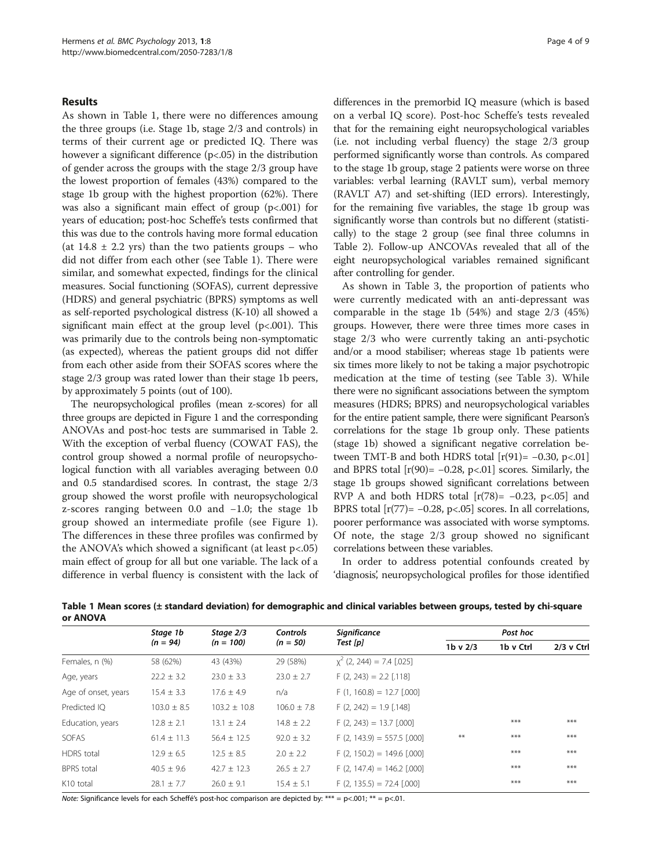### Results

As shown in Table 1, there were no differences amoung the three groups (i.e. Stage 1b, stage 2/3 and controls) in terms of their current age or predicted IQ. There was however a significant difference (p<.05) in the distribution of gender across the groups with the stage 2/3 group have the lowest proportion of females (43%) compared to the stage 1b group with the highest proportion (62%). There was also a significant main effect of group (p<.001) for years of education; post-hoc Scheffe's tests confirmed that this was due to the controls having more formal education (at  $14.8 \pm 2.2$  yrs) than the two patients groups – who did not differ from each other (see Table 1). There were similar, and somewhat expected, findings for the clinical measures. Social functioning (SOFAS), current depressive (HDRS) and general psychiatric (BPRS) symptoms as well as self-reported psychological distress (K-10) all showed a significant main effect at the group level (p<.001). This was primarily due to the controls being non-symptomatic (as expected), whereas the patient groups did not differ from each other aside from their SOFAS scores where the stage 2/3 group was rated lower than their stage 1b peers, by approximately 5 points (out of 100).

The neuropsychological profiles (mean z-scores) for all three groups are depicted in Figure [1](#page-4-0) and the corresponding ANOVAs and post-hoc tests are summarised in Table [2](#page-4-0). With the exception of verbal fluency (COWAT FAS), the control group showed a normal profile of neuropsychological function with all variables averaging between 0.0 and 0.5 standardised scores. In contrast, the stage 2/3 group showed the worst profile with neuropsychological z-scores ranging between 0.0 and −1.0; the stage 1b group showed an intermediate profile (see Figure [1](#page-4-0)). The differences in these three profiles was confirmed by the ANOVA's which showed a significant (at least  $p < .05$ ) main effect of group for all but one variable. The lack of a difference in verbal fluency is consistent with the lack of differences in the premorbid IQ measure (which is based on a verbal IQ score). Post-hoc Scheffe's tests revealed that for the remaining eight neuropsychological variables (i.e. not including verbal fluency) the stage 2/3 group performed significantly worse than controls. As compared to the stage 1b group, stage 2 patients were worse on three variables: verbal learning (RAVLT sum), verbal memory (RAVLT A7) and set-shifting (IED errors). Interestingly, for the remaining five variables, the stage 1b group was significantly worse than controls but no different (statistically) to the stage 2 group (see final three columns in Table [2](#page-4-0)). Follow-up ANCOVAs revealed that all of the eight neuropsychological variables remained significant after controlling for gender.

As shown in Table [3](#page-5-0), the proportion of patients who were currently medicated with an anti-depressant was comparable in the stage 1b (54%) and stage 2/3 (45%) groups. However, there were three times more cases in stage 2/3 who were currently taking an anti-psychotic and/or a mood stabiliser; whereas stage 1b patients were six times more likely to not be taking a major psychotropic medication at the time of testing (see Table [3\)](#page-5-0). While there were no significant associations between the symptom measures (HDRS; BPRS) and neuropsychological variables for the entire patient sample, there were significant Pearson's correlations for the stage 1b group only. These patients (stage 1b) showed a significant negative correlation between TMT-B and both HDRS total  $[r(91) = -0.30, p < 01]$ and BPRS total  $[r(90) = -0.28, p<0.1]$  scores. Similarly, the stage 1b groups showed significant correlations between RVP A and both HDRS total  $[r(78) = -0.23, p < .05]$  and BPRS total  $[r(77) = -0.28, p < .05]$  scores. In all correlations, poorer performance was associated with worse symptoms. Of note, the stage 2/3 group showed no significant correlations between these variables.

In order to address potential confounds created by 'diagnosis', neuropsychological profiles for those identified

| ,,,,,,,,,,            |                        |                          |                               |                                 |              |           |              |
|-----------------------|------------------------|--------------------------|-------------------------------|---------------------------------|--------------|-----------|--------------|
|                       | Stage 1b<br>$(n = 94)$ | Stage 2/3<br>$(n = 100)$ | <b>Controls</b><br>$(n = 50)$ | <b>Significance</b><br>Test [p] | Post hoc     |           |              |
|                       |                        |                          |                               |                                 | $1b$ v $2/3$ | 1b v Ctrl | $2/3$ v Ctrl |
| Females, n (%)        | 58 (62%)               | 43 (43%)                 | 29 (58%)                      | $x^2$ (2, 244) = 7.4 [.025]     |              |           |              |
| Age, years            | $22.2 \pm 3.2$         | $23.0 \pm 3.3$           | $23.0 \pm 2.7$                | $F(2, 243) = 2.2$ [.118]        |              |           |              |
| Age of onset, years   | $15.4 \pm 3.3$         | $17.6 \pm 4.9$           | n/a                           | $F(1, 160.8) = 12.7$ [.000]     |              |           |              |
| Predicted IO          | $103.0 \pm 8.5$        | $103.2 \pm 10.8$         | $106.0 \pm 7.8$               | $F(2, 242) = 1.9$ [.148]        |              |           |              |
| Education, years      | $12.8 \pm 2.1$         | $13.1 \pm 2.4$           | $14.8 \pm 2.2$                | $F(2, 243) = 13.7$ [.000]       |              | $***$     | ***          |
| SOFAS                 | $61.4 \pm 11.3$        | $56.4 \pm 12.5$          | $92.0 \pm 3.2$                | $F(2, 143.9) = 557.5$ [.000]    | $***$        | $***$     | $***$        |
| <b>HDRS</b> total     | $12.9 \pm 6.5$         | $12.5 \pm 8.5$           | $2.0 \pm 2.2$                 | $F(2, 150.2) = 149.6$ [.000]    |              | $***$     | ***          |
| <b>BPRS</b> total     | $40.5 \pm 9.6$         | $42.7 \pm 12.3$          | $26.5 \pm 2.7$                | $F(2, 147.4) = 146.2$ [.000]    |              | $***$     | $***$        |
| K <sub>10</sub> total | $28.1 \pm 7.7$         | $26.0 \pm 9.1$           | $15.4 \pm 5.1$                | $F(2, 135.5) = 72.4$ [.000]     |              | $***$     | $***$        |
|                       |                        |                          |                               |                                 |              |           |              |

Table 1 Mean scores (± standard deviation) for demographic and clinical variables between groups, tested by chi-square or ANOVA

Note: Significance levels for each Scheffé's post-hoc comparison are depicted by: \*\*\* = p<.001; \*\* = p<.01.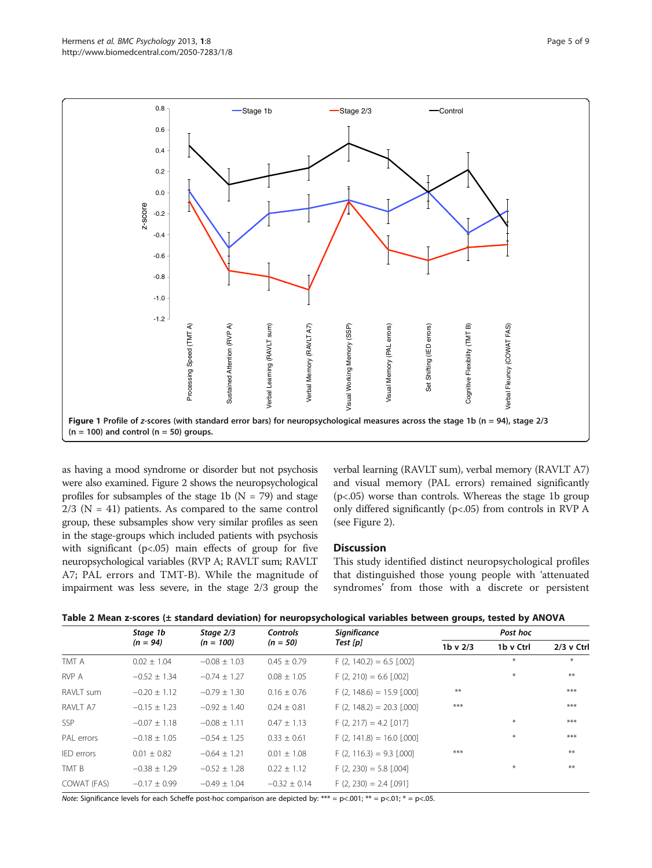<span id="page-4-0"></span>

as having a mood syndrome or disorder but not psychosis were also examined. Figure [2](#page-5-0) shows the neuropsychological profiles for subsamples of the stage 1b ( $N = 79$ ) and stage  $2/3$  (N = 41) patients. As compared to the same control group, these subsamples show very similar profiles as seen in the stage-groups which included patients with psychosis with significant ( $p < .05$ ) main effects of group for five neuropsychological variables (RVP A; RAVLT sum; RAVLT A7; PAL errors and TMT-B). While the magnitude of impairment was less severe, in the stage 2/3 group the verbal learning (RAVLT sum), verbal memory (RAVLT A7) and visual memory (PAL errors) remained significantly (p<.05) worse than controls. Whereas the stage 1b group only differed significantly (p<.05) from controls in RVP A (see Figure [2](#page-5-0)).

# **Discussion**

This study identified distinct neuropsychological profiles that distinguished those young people with 'attenuated syndromes' from those with a discrete or persistent

|                  | Stage 1b         | Stage 2/3        | <b>Controls</b>  | <b>Significance</b><br>Test [p] | Post hoc   |           |              |
|------------------|------------------|------------------|------------------|---------------------------------|------------|-----------|--------------|
|                  | $(n = 94)$       | $(n = 100)$      | $(n = 50)$       |                                 | $1b$ v 2/3 | 1b v Ctrl | $2/3$ v Ctrl |
| TMT A            | $0.02 \pm 1.04$  | $-0.08 \pm 1.03$ | $0.45 \pm 0.79$  | $F(2, 140.2) = 6.5$ [.002]      |            | $\ast$    | $*$          |
| RVP A            | $-0.52 \pm 1.34$ | $-0.74 \pm 1.27$ | $0.08 \pm 1.05$  | $F(2, 210) = 6.6$ [.002]        |            | $*$       | $***$        |
| RAVLT sum        | $-0.20 \pm 1.12$ | $-0.79 \pm 1.30$ | $0.16 \pm 0.76$  | $F(2, 148.6) = 15.9$ [.000]     | $***$      |           | $***$        |
| RAVIT A7         | $-0.15 \pm 1.23$ | $-0.92 \pm 1.40$ | $0.24 \pm 0.81$  | $F(2, 148.2) = 20.3$ [.000]     | ***        |           | $***$        |
| <b>SSP</b>       | $-0.07 \pm 1.18$ | $-0.08 \pm 1.11$ | $0.47 \pm 1.13$  | $F(2, 217) = 4.2$ [.017]        |            | $*$       | ***          |
| PAL errors       | $-0.18 \pm 1.05$ | $-0.54 \pm 1.25$ | $0.33 \pm 0.61$  | $F(2, 141.8) = 16.0$ [.000]     |            | $*$       | $***$        |
| IED errors       | $0.01 \pm 0.82$  | $-0.64 \pm 1.21$ | $0.01 \pm 1.08$  | $F(2, 116.3) = 9.3$ [.000]      | ***        |           | $***$        |
| TMT <sub>B</sub> | $-0.38 \pm 1.29$ | $-0.52 \pm 1.28$ | $0.22 \pm 1.12$  | $F(2, 230) = 5.8$ [.004]        |            | $\ast$    | $***$        |
| COWAT (FAS)      | $-0.17 \pm 0.99$ | $-0.49 \pm 1.04$ | $-0.32 \pm 0.14$ | $F(2, 230) = 2.4$ [.091]        |            |           |              |

Note: Significance levels for each Scheffe post-hoc comparison are depicted by: \*\*\* = p<.001; \*\* = p<.01; \* = p<.05.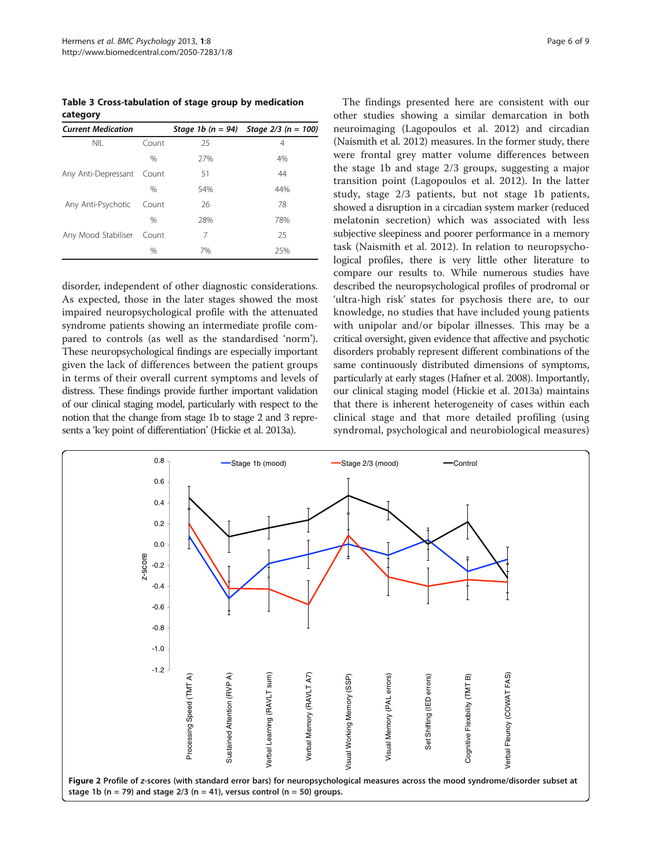<span id="page-5-0"></span>Table 3 Cross-tabulation of stage group by medication category

| <b>Current Medication</b> |               |     | Stage 1b $(n = 94)$ Stage 2/3 $(n = 100)$ |
|---------------------------|---------------|-----|-------------------------------------------|
| <b>NIL</b>                | Count         | 25  | 4                                         |
|                           | $\%$          | 27% | 4%                                        |
| Any Anti-Depressant       | Count         | 51  | 44                                        |
|                           | $\frac{0}{0}$ | 54% | 44%                                       |
| Any Anti-Psychotic        | Count         | 26  | 78                                        |
|                           | $\frac{0}{0}$ | 28% | 78%                                       |
| Any Mood Stabiliser       | Count         | 7   | 25                                        |
|                           | $\frac{0}{0}$ | 7%  | 25%                                       |

disorder, independent of other diagnostic considerations. As expected, those in the later stages showed the most impaired neuropsychological profile with the attenuated syndrome patients showing an intermediate profile compared to controls (as well as the standardised 'norm'). These neuropsychological findings are especially important given the lack of differences between the patient groups in terms of their overall current symptoms and levels of distress. These findings provide further important validation of our clinical staging model, particularly with respect to the notion that the change from stage 1b to stage 2 and 3 represents a 'key point of differentiation' (Hickie et al. [2013](#page-7-0)a).

The findings presented here are consistent with our other studies showing a similar demarcation in both neuroimaging (Lagopoulos et al. [2012](#page-7-0)) and circadian (Naismith et al. [2012\)](#page-7-0) measures. In the former study, there were frontal grey matter volume differences between the stage 1b and stage 2/3 groups, suggesting a major transition point (Lagopoulos et al. [2012](#page-7-0)). In the latter study, stage 2/3 patients, but not stage 1b patients, showed a disruption in a circadian system marker (reduced melatonin secretion) which was associated with less subjective sleepiness and poorer performance in a memory task (Naismith et al. [2012\)](#page-7-0). In relation to neuropsychological profiles, there is very little other literature to compare our results to. While numerous studies have described the neuropsychological profiles of prodromal or 'ultra-high risk' states for psychosis there are, to our knowledge, no studies that have included young patients with unipolar and/or bipolar illnesses. This may be a critical oversight, given evidence that affective and psychotic disorders probably represent different combinations of the same continuously distributed dimensions of symptoms, particularly at early stages (Hafner et al. [2008\)](#page-7-0). Importantly, our clinical staging model (Hickie et al. [2013a](#page-7-0)) maintains that there is inherent heterogeneity of cases within each clinical stage and that more detailed profiling (using syndromal, psychological and neurobiological measures)

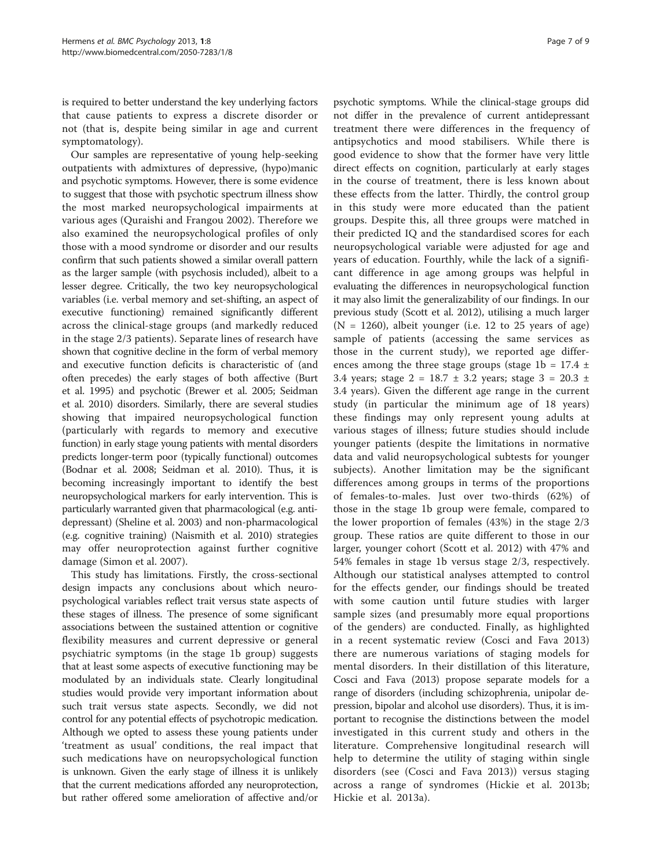is required to better understand the key underlying factors that cause patients to express a discrete disorder or not (that is, despite being similar in age and current symptomatology).

Our samples are representative of young help-seeking outpatients with admixtures of depressive, (hypo)manic and psychotic symptoms. However, there is some evidence to suggest that those with psychotic spectrum illness show the most marked neuropsychological impairments at various ages (Quraishi and Frangou [2002](#page-7-0)). Therefore we also examined the neuropsychological profiles of only those with a mood syndrome or disorder and our results confirm that such patients showed a similar overall pattern as the larger sample (with psychosis included), albeit to a lesser degree. Critically, the two key neuropsychological variables (i.e. verbal memory and set-shifting, an aspect of executive functioning) remained significantly different across the clinical-stage groups (and markedly reduced in the stage 2/3 patients). Separate lines of research have shown that cognitive decline in the form of verbal memory and executive function deficits is characteristic of (and often precedes) the early stages of both affective (Burt et al. [1995\)](#page-7-0) and psychotic (Brewer et al. [2005](#page-7-0); Seidman et al. [2010](#page-8-0)) disorders. Similarly, there are several studies showing that impaired neuropsychological function (particularly with regards to memory and executive function) in early stage young patients with mental disorders predicts longer-term poor (typically functional) outcomes (Bodnar et al. [2008;](#page-7-0) Seidman et al. [2010\)](#page-8-0). Thus, it is becoming increasingly important to identify the best neuropsychological markers for early intervention. This is particularly warranted given that pharmacological (e.g. antidepressant) (Sheline et al. [2003\)](#page-8-0) and non-pharmacological (e.g. cognitive training) (Naismith et al. [2010\)](#page-7-0) strategies may offer neuroprotection against further cognitive damage (Simon et al. [2007](#page-8-0)).

This study has limitations. Firstly, the cross-sectional design impacts any conclusions about which neuropsychological variables reflect trait versus state aspects of these stages of illness. The presence of some significant associations between the sustained attention or cognitive flexibility measures and current depressive or general psychiatric symptoms (in the stage 1b group) suggests that at least some aspects of executive functioning may be modulated by an individuals state. Clearly longitudinal studies would provide very important information about such trait versus state aspects. Secondly, we did not control for any potential effects of psychotropic medication. Although we opted to assess these young patients under 'treatment as usual' conditions, the real impact that such medications have on neuropsychological function is unknown. Given the early stage of illness it is unlikely that the current medications afforded any neuroprotection, but rather offered some amelioration of affective and/or

psychotic symptoms. While the clinical-stage groups did not differ in the prevalence of current antidepressant treatment there were differences in the frequency of antipsychotics and mood stabilisers. While there is good evidence to show that the former have very little direct effects on cognition, particularly at early stages in the course of treatment, there is less known about these effects from the latter. Thirdly, the control group in this study were more educated than the patient groups. Despite this, all three groups were matched in their predicted IQ and the standardised scores for each neuropsychological variable were adjusted for age and years of education. Fourthly, while the lack of a significant difference in age among groups was helpful in evaluating the differences in neuropsychological function it may also limit the generalizability of our findings. In our previous study (Scott et al. [2012](#page-8-0)), utilising a much larger  $(N = 1260)$ , albeit younger (i.e. 12 to 25 years of age) sample of patients (accessing the same services as those in the current study), we reported age differences among the three stage groups (stage 1b =  $17.4 \pm 10^{-10}$ 3.4 years; stage  $2 = 18.7 \pm 3.2$  years; stage  $3 = 20.3 \pm 1.2$ 3.4 years). Given the different age range in the current study (in particular the minimum age of 18 years) these findings may only represent young adults at various stages of illness; future studies should include younger patients (despite the limitations in normative data and valid neuropsychological subtests for younger subjects). Another limitation may be the significant differences among groups in terms of the proportions of females-to-males. Just over two-thirds (62%) of those in the stage 1b group were female, compared to the lower proportion of females (43%) in the stage 2/3 group. These ratios are quite different to those in our larger, younger cohort (Scott et al. [2012](#page-8-0)) with 47% and 54% females in stage 1b versus stage 2/3, respectively. Although our statistical analyses attempted to control for the effects gender, our findings should be treated with some caution until future studies with larger sample sizes (and presumably more equal proportions of the genders) are conducted. Finally, as highlighted in a recent systematic review (Cosci and Fava [2013](#page-7-0)) there are numerous variations of staging models for mental disorders. In their distillation of this literature, Cosci and Fava [\(2013](#page-7-0)) propose separate models for a range of disorders (including schizophrenia, unipolar depression, bipolar and alcohol use disorders). Thus, it is important to recognise the distinctions between the model investigated in this current study and others in the literature. Comprehensive longitudinal research will help to determine the utility of staging within single disorders (see (Cosci and Fava [2013\)](#page-7-0)) versus staging across a range of syndromes (Hickie et al. [2013](#page-7-0)b; Hickie et al. [2013a](#page-7-0)).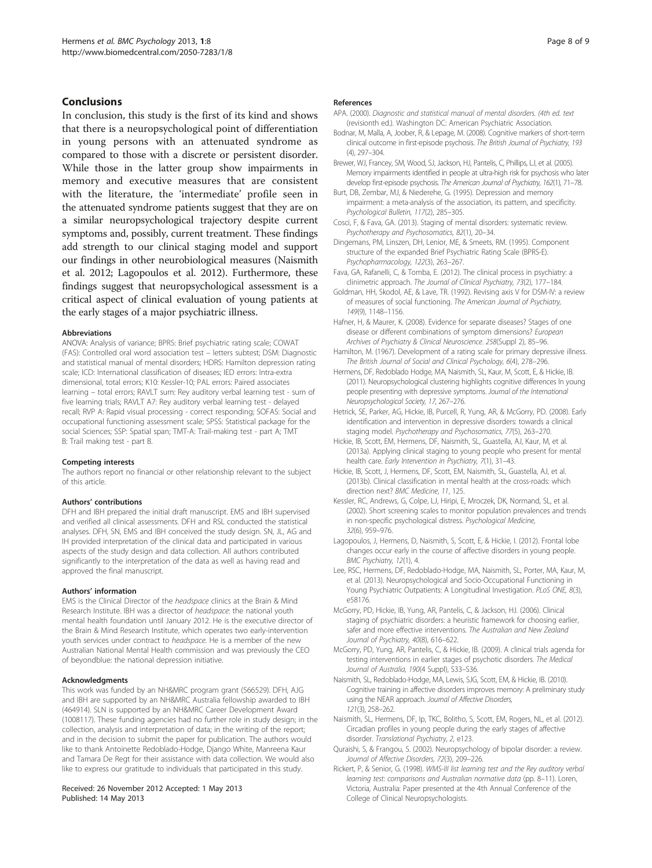#### <span id="page-7-0"></span>Conclusions

In conclusion, this study is the first of its kind and shows that there is a neuropsychological point of differentiation in young persons with an attenuated syndrome as compared to those with a discrete or persistent disorder. While those in the latter group show impairments in memory and executive measures that are consistent with the literature, the 'intermediate' profile seen in the attenuated syndrome patients suggest that they are on a similar neuropsychological trajectory despite current symptoms and, possibly, current treatment. These findings add strength to our clinical staging model and support our findings in other neurobiological measures (Naismith et al. 2012; Lagopoulos et al. 2012). Furthermore, these findings suggest that neuropsychological assessment is a critical aspect of clinical evaluation of young patients at the early stages of a major psychiatric illness.

#### Abbreviations

ANOVA: Analysis of variance; BPRS: Brief psychiatric rating scale; COWAT (FAS): Controlled oral word association test – letters subtest; DSM: Diagnostic and statistical manual of mental disorders; HDRS: Hamilton depression rating scale; ICD: International classification of diseases; IED errors: Intra-extra dimensional, total errors; K10: Kessler-10; PAL errors: Paired associates learning – total errors; RAVLT sum: Rey auditory verbal learning test - sum of five learning trials; RAVLT A7: Rey auditory verbal learning test - delayed recall; RVP A: Rapid visual processing - correct responding; SOFAS: Social and occupational functioning assessment scale; SPSS: Statistical package for the social Sciences; SSP: Spatial span; TMT-A: Trail-making test - part A; TMT B: Trail making test - part B.

#### Competing interests

The authors report no financial or other relationship relevant to the subject of this article.

#### Authors' contributions

DFH and IBH prepared the initial draft manuscript. EMS and IBH supervised and verified all clinical assessments. DFH and RSL conducted the statistical analyses. DFH, SN, EMS and IBH conceived the study design. SN, JL, AG and IH provided interpretation of the clinical data and participated in various aspects of the study design and data collection. All authors contributed significantly to the interpretation of the data as well as having read and approved the final manuscript.

#### Authors' information

EMS is the Clinical Director of the headspace clinics at the Brain & Mind Research Institute. IBH was a director of headspace: the national youth mental health foundation until January 2012. He is the executive director of the Brain & Mind Research Institute, which operates two early-intervention youth services under contract to headspace. He is a member of the new Australian National Mental Health commission and was previously the CEO of beyondblue: the national depression initiative.

#### Acknowledgments

This work was funded by an NH&MRC program grant (566529). DFH, AJG and IBH are supported by an NH&MRC Australia fellowship awarded to IBH (464914). SLN is supported by an NH&MRC Career Development Award (1008117). These funding agencies had no further role in study design; in the collection, analysis and interpretation of data; in the writing of the report; and in the decision to submit the paper for publication. The authors would like to thank Antoinette Redoblado-Hodge, Django White, Manreena Kaur and Tamara De Regt for their assistance with data collection. We would also like to express our gratitude to individuals that participated in this study.

#### Received: 26 November 2012 Accepted: 1 May 2013 Published: 14 May 2013

#### References

- APA. (2000). Diagnostic and statistical manual of mental disorders. (4th ed. text (revisionth ed.). Washington DC: American Psychiatric Association.
- Bodnar, M, Malla, A, Joober, R, & Lepage, M. (2008). Cognitive markers of short-term clinical outcome in first-episode psychosis. The British Journal of Psychiatry, 193 (4), 297–304.
- Brewer, WJ, Francey, SM, Wood, SJ, Jackson, HJ, Pantelis, C, Phillips, LJ, et al. (2005). Memory impairments identified in people at ultra-high risk for psychosis who later develop first-episode psychosis. The American Journal of Psychiatry, 162(1), 71–78.
- Burt, DB, Zembar, MJ, & Niederehe, G. (1995). Depression and memory impairment: a meta-analysis of the association, its pattern, and specificity. Psychological Bulletin, 117(2), 285–305.
- Cosci, F, & Fava, GA. (2013). Staging of mental disorders: systematic review. Psychotherapy and Psychosomatics, 82(1), 20–34.
- Dingemans, PM, Linszen, DH, Lenior, ME, & Smeets, RM. (1995). Component structure of the expanded Brief Psychiatric Rating Scale (BPRS-E). Psychopharmacology, 122(3), 263–267.
- Fava, GA, Rafanelli, C, & Tomba, E. (2012). The clinical process in psychiatry: a clinimetric approach. The Journal of Clinical Psychiatry, 73(2), 177–184.
- Goldman, HH, Skodol, AE, & Lave, TR. (1992). Revising axis V for DSM-IV: a review of measures of social functioning. The American Journal of Psychiatry, 149(9), 1148–1156.

Hafner, H, & Maurer, K. (2008). Evidence for separate diseases? Stages of one disease or different combinations of symptom dimensions? European Archives of Psychiatry & Clinical Neuroscience. 258(Suppl 2), 85–96.

- Hamilton, M. (1967). Development of a rating scale for primary depressive illness. The British Journal of Social and Clinical Psychology, 6(4), 278–296.
- Hermens, DF, Redoblado Hodge, MA, Naismith, SL, Kaur, M, Scott, E, & Hickie, IB. (2011). Neuropsychological clustering highlights cognitive differences In young people presenting with depressive symptoms. Journal of the International Neuropsychological Society, 17, 267–276.
- Hetrick, SE, Parker, AG, Hickie, IB, Purcell, R, Yung, AR, & McGorry, PD. (2008). Early identification and intervention in depressive disorders: towards a clinical staging model. Psychotherapy and Psychosomatics, 77(5), 263–270.
- Hickie, IB, Scott, EM, Hermens, DF, Naismith, SL, Guastella, AJ, Kaur, M, et al. (2013a). Applying clinical staging to young people who present for mental health care. Early Intervention in Psychiatry, 7(1), 31–43.
- Hickie, IB, Scott, J, Hermens, DF, Scott, EM, Naismith, SL, Guastella, AJ, et al. (2013b). Clinical classification in mental health at the cross-roads: which direction next? BMC Medicine, 11, 125.
- Kessler, RC, Andrews, G, Colpe, LJ, Hiripi, E, Mroczek, DK, Normand, SL, et al. (2002). Short screening scales to monitor population prevalences and trends in non-specific psychological distress. Psychological Medicine, 32(6), 959–976.
- Lagopoulos, J, Hermens, D, Naismith, S, Scott, E, & Hickie, I. (2012). Frontal lobe changes occur early in the course of affective disorders in young people. BMC Psychiatry, 12(1), 4.
- Lee, RSC, Hermens, DF, Redoblado-Hodge, MA, Naismith, SL, Porter, MA, Kaur, M, et al. (2013). Neuropsychological and Socio-Occupational Functioning in Young Psychiatric Outpatients: A Longitudinal Investigation. PLoS ONE, 8(3), e58176.

McGorry, PD, Hickie, IB, Yung, AR, Pantelis, C, & Jackson, HJ. (2006). Clinical staging of psychiatric disorders: a heuristic framework for choosing earlier, safer and more effective interventions. The Australian and New Zealand Journal of Psychiatry, 40(8), 616–622.

McGorry, PD, Yung, AR, Pantelis, C, & Hickie, IB. (2009). A clinical trials agenda for testing interventions in earlier stages of psychotic disorders. The Medical Journal of Australia, 190(4 Suppl), S33–S36.

- Naismith, SL, Redoblado-Hodge, MA, Lewis, SJG, Scott, EM, & Hickie, IB. (2010). Cognitive training in affective disorders improves memory: A preliminary study using the NEAR approach. Journal of Affective Disorders, 121(3), 258–262.
- Naismith, SL, Hermens, DF, Ip, TKC, Bolitho, S, Scott, EM, Rogers, NL, et al. (2012). Circadian profiles in young people during the early stages of affective disorder. Translational Psychiatry, 2, e123.
- Quraishi, S, & Frangou, S. (2002). Neuropsychology of bipolar disorder: a review. Journal of Affective Disorders, 72(3), 209–226.
- Rickert, P, & Senior, G. (1998). WMS-III list learning test and the Rey auditory verbal learning test: comparisons and Australian normative data (pp. 8–11). Loren, Victoria, Australia: Paper presented at the 4th Annual Conference of the College of Clinical Neuropsychologists.